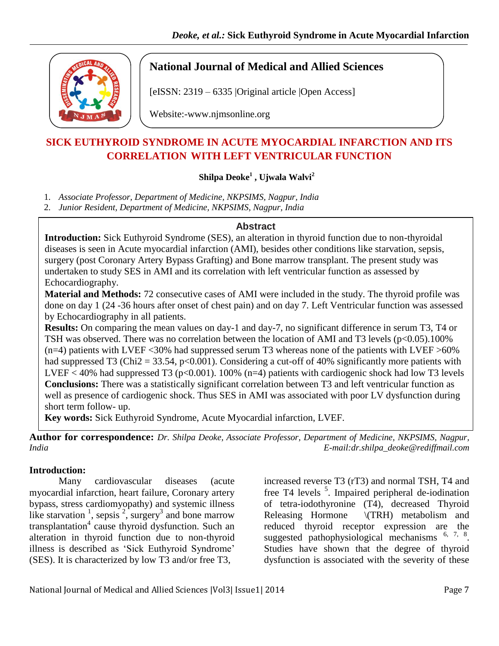

## **National Journal of Medical and Allied Sciences**

[eISSN: 2319 – 6335 |Original article |Open Access]

Website:-www.njmsonline.org

# **SICK EUTHYROID SYNDROME IN ACUTE MYOCARDIAL INFARCTION AND ITS CORRELATION WITH LEFT VENTRICULAR FUNCTION**

## **Shilpa Deoke<sup>1</sup> , Ujwala Walvi<sup>2</sup>**

- 1. *Associate Professor, Department of Medicine, NKPSIMS, Nagpur, India*
- 2. *Junior Resident, Department of Medicine, NKPSIMS, Nagpur, India*

## **Abstract**

**Introduction:** Sick Euthyroid Syndrome (SES), an alteration in thyroid function due to non-thyroidal diseases is seen in Acute myocardial infarction (AMI), besides other conditions like starvation, sepsis, surgery (post Coronary Artery Bypass Grafting) and Bone marrow transplant. The present study was undertaken to study SES in AMI and its correlation with left ventricular function as assessed by Echocardiography.

**Material and Methods:** 72 consecutive cases of AMI were included in the study. The thyroid profile was done on day 1 (24 -36 hours after onset of chest pain) and on day 7. Left Ventricular function was assessed by Echocardiography in all patients.

**Results:** On comparing the mean values on day-1 and day-7, no significant difference in serum T3, T4 or TSH was observed. There was no correlation between the location of AMI and T3 levels  $(p<0.05)$ .100%  $(n=4)$  patients with LVEF <30% had suppressed serum T3 whereas none of the patients with LVEF >60% had suppressed T3 (Chi2 = 33.54, p<0.001). Considering a cut-off of 40% significantly more patients with LVEF < 40% had suppressed T3 (p<0.001). 100% (n=4) patients with cardiogenic shock had low T3 levels **Conclusions:** There was a statistically significant correlation between T3 and left ventricular function as well as presence of cardiogenic shock. Thus SES in AMI was associated with poor LV dysfunction during short term follow- up.

**Key words:** Sick Euthyroid Syndrome, Acute Myocardial infarction, LVEF.

**Author for correspondence:** *Dr. Shilpa Deoke, Associate Professor, Department of Medicine, NKPSIMS, Nagpur, India E-mail:dr.shilpa\_deoke@rediffmail.com*

## **Introduction:**

Many cardiovascular diseases (acute myocardial infarction, heart failure, Coronary artery bypass, stress cardiomyopathy) and systemic illness like starvation<sup>1</sup>, sepsis<sup>2</sup>, surgery<sup>3</sup> and bone marrow  $transplantation<sup>4</sup> cause thyroid dysfunction. Such an$ alteration in thyroid function due to non-thyroid illness is described as 'Sick Euthyroid Syndrome' (SES). It is characterized by low T3 and/or free T3,

increased reverse T3 (rT3) and normal TSH, T4 and free T4 levels  $5$ . Impaired peripheral de-iodination of tetra-iodothyronine (T4), decreased Thyroid Releasing Hormone \(TRH) metabolism and reduced thyroid receptor expression are the suggested pathophysiological mechanisms  $6, 7, 8$ . Studies have shown that the degree of thyroid dysfunction is associated with the severity of these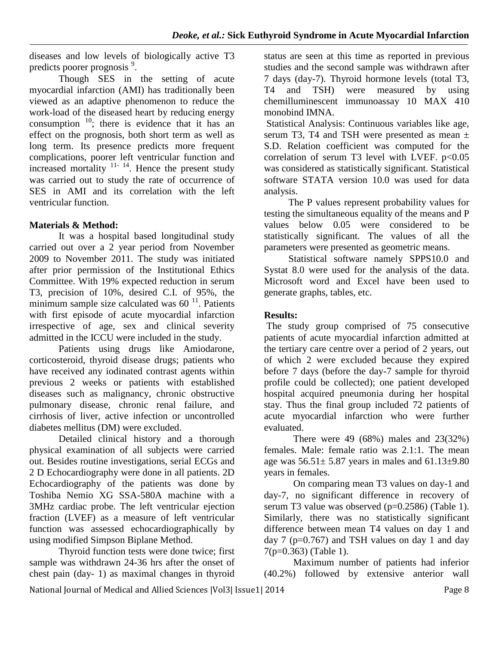diseases and low levels of biologically active T3 predicts poorer prognosis <sup>9</sup>.

Though SES in the setting of acute myocardial infarction (AMI) has traditionally been viewed as an adaptive phenomenon to reduce the work-load of the diseased heart by reducing energy consumption  $^{10}$ ; there is evidence that it has an effect on the prognosis, both short term as well as long term. Its presence predicts more frequent complications, poorer left ventricular function and increased mortality  $11 - 14$ . Hence the present study was carried out to study the rate of occurrence of SES in AMI and its correlation with the left ventricular function.

## **Materials & Method:**

It was a hospital based longitudinal study carried out over a 2 year period from November 2009 to November 2011. The study was initiated after prior permission of the Institutional Ethics Committee. With 19% expected reduction in serum T3, precision of 10%, desired C.I. of 95%, the minimum sample size calculated was  $60<sup>11</sup>$ . Patients with first episode of acute myocardial infarction irrespective of age, sex and clinical severity admitted in the ICCU were included in the study.

Patients using drugs like Amiodarone, corticosteroid, thyroid disease drugs; patients who have received any iodinated contrast agents within previous 2 weeks or patients with established diseases such as malignancy, chronic obstructive pulmonary disease, chronic renal failure, and cirrhosis of liver, active infection or uncontrolled diabetes mellitus (DM) were excluded.

Detailed clinical history and a thorough physical examination of all subjects were carried out. Besides routine investigations, serial ECGs and 2 D Echocardiography were done in all patients. 2D Echocardiography of the patients was done by Toshiba Nemio XG SSA-580A machine with a 3MHz cardiac probe. The left ventricular ejection fraction (LVEF) as a measure of left ventricular function was assessed echocardiographically by using modified Simpson Biplane Method.

Thyroid function tests were done twice; first sample was withdrawn 24-36 hrs after the onset of chest pain (day- 1) as maximal changes in thyroid status are seen at this time as reported in previous studies and the second sample was withdrawn after 7 days (day-7). Thyroid hormone levels (total T3, T4 and TSH) were measured by using chemilluminescent immunoassay 10 MAX 410 monobind IMNA.

Statistical Analysis: Continuous variables like age, serum T3, T4 and TSH were presented as mean  $\pm$ S.D. Relation coefficient was computed for the correlation of serum T3 level with LVEF.  $p<0.05$ was considered as statistically significant. Statistical software STATA version 10.0 was used for data analysis.

 The P values represent probability values for testing the simultaneous equality of the means and P values below 0.05 were considered to be statistically significant. The values of all the parameters were presented as geometric means.

 Statistical software namely SPPS10.0 and Systat 8.0 were used for the analysis of the data. Microsoft word and Excel have been used to generate graphs, tables, etc.

## **Results:**

The study group comprised of 75 consecutive patients of acute myocardial infarction admitted at the tertiary care centre over a period of 2 years, out of which 2 were excluded because they expired before 7 days (before the day-7 sample for thyroid profile could be collected); one patient developed hospital acquired pneumonia during her hospital stay. Thus the final group included 72 patients of acute myocardial infarction who were further evaluated.

There were 49 (68%) males and 23(32%) females. Male: female ratio was 2.1:1. The mean age was  $56.51 \pm 5.87$  years in males and  $61.13 \pm 9.80$ years in females.

On comparing mean T3 values on day-1 and day-7, no significant difference in recovery of serum T3 value was observed (p=0.2586) (Table 1). Similarly, there was no statistically significant difference between mean T4 values on day 1 and day 7 (p=0.767) and TSH values on day 1 and day 7(p=0.363) (Table 1).

Maximum number of patients had inferior (40.2%) followed by extensive anterior wall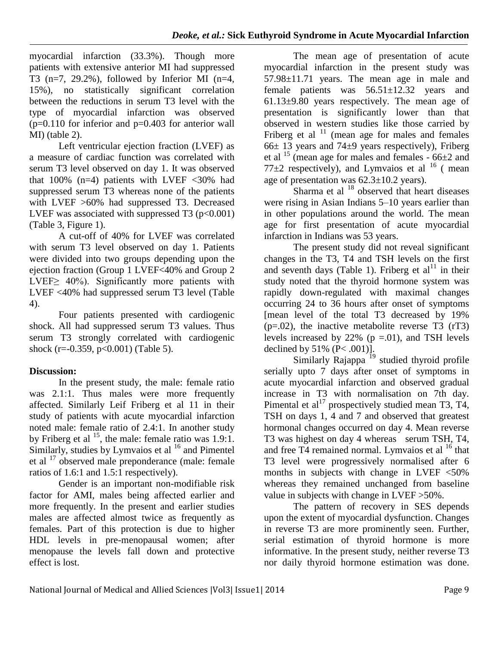myocardial infarction (33.3%). Though more patients with extensive anterior MI had suppressed T3 (n=7, 29.2%), followed by Inferior MI (n=4, 15%), no statistically significant correlation between the reductions in serum T3 level with the type of myocardial infarction was observed  $(p=0.110)$  for inferior and  $p=0.403$  for anterior wall MI) (table 2).

Left ventricular ejection fraction (LVEF) as a measure of cardiac function was correlated with serum T3 level observed on day 1. It was observed that  $100\%$  (n=4) patients with LVEF <30% had suppressed serum T3 whereas none of the patients with LVEF  $>60\%$  had suppressed T3. Decreased LVEF was associated with suppressed T3  $(p<0.001)$ (Table 3, Figure 1).

A cut-off of 40% for LVEF was correlated with serum T3 level observed on day 1. Patients were divided into two groups depending upon the ejection fraction (Group 1 LVEF<40% and Group 2 LVEF $\geq$  40%). Significantly more patients with LVEF <40% had suppressed serum T3 level (Table 4).

Four patients presented with cardiogenic shock. All had suppressed serum T3 values. Thus serum T3 strongly correlated with cardiogenic shock (r=-0.359, p<0.001) (Table 5).

## **Discussion:**

In the present study, the male: female ratio was 2.1:1. Thus males were more frequently affected. Similarly Leif Friberg et al 11 in their study of patients with acute myocardial infarction noted male: female ratio of 2.4:1. In another study by Friberg et al  $^{15}$ , the male: female ratio was 1.9:1. Similarly, studies by Lymvaios et al  $16$  and Pimentel et al <sup>17</sup> observed male preponderance (male: female ratios of 1.6:1 and 1.5:1 respectively).

Gender is an important non-modifiable risk factor for AMI, males being affected earlier and more frequently. In the present and earlier studies males are affected almost twice as frequently as females. Part of this protection is due to higher HDL levels in pre-menopausal women; after menopause the levels fall down and protective effect is lost.

The mean age of presentation of acute myocardial infarction in the present study was 57.98±11.71 years. The mean age in male and female patients was 56.51±12.32 years and 61.13±9.80 years respectively. The mean age of presentation is significantly lower than that observed in western studies like those carried by Friberg et al  $11$  (mean age for males and females  $66± 13$  years and  $74±9$  years respectively), Friberg et al  $^{15}$  (mean age for males and females - 66 $\pm$ 2 and  $77\pm2$  respectively), and Lymvaios et al  $^{16}$  (mean age of presentation was  $62.3 \pm 10.2$  years).

Sharma et al  $^{18}$  observed that heart diseases were rising in Asian Indians 5–10 years earlier than in other populations around the world. The mean age for first presentation of acute myocardial infarction in Indians was 53 years.

The present study did not reveal significant changes in the T3, T4 and TSH levels on the first and seventh days (Table 1). Friberg et  $al<sup>11</sup>$  in their study noted that the thyroid hormone system was rapidly down-regulated with maximal changes occurring 24 to 36 hours after onset of symptoms [mean level of the total T3 decreased by 19%  $(p=.02)$ , the inactive metabolite reverse T3  $(rT3)$ levels increased by 22%  $(p = .01)$ , and TSH levels declined by  $51\%$  (P< .001)].

Similarly Rajappa<sup>19</sup> studied thyroid profile serially upto 7 days after onset of symptoms in acute myocardial infarction and observed gradual increase in T3 with normalisation on 7th day. Pimental et al<sup>17</sup> prospectively studied mean T3, T4, TSH on days 1, 4 and 7 and observed that greatest hormonal changes occurred on day 4. Mean reverse T3 was highest on day 4 whereas serum TSH, T4, and free T4 remained normal. Lymvaios et al  $^{16}$  that T3 level were progressively normalised after 6 months in subjects with change in LVEF <50% whereas they remained unchanged from baseline value in subjects with change in LVEF >50%.

The pattern of recovery in SES depends upon the extent of myocardial dysfunction. Changes in reverse T3 are more prominently seen. Further, serial estimation of thyroid hormone is more informative. In the present study, neither reverse T3 nor daily thyroid hormone estimation was done.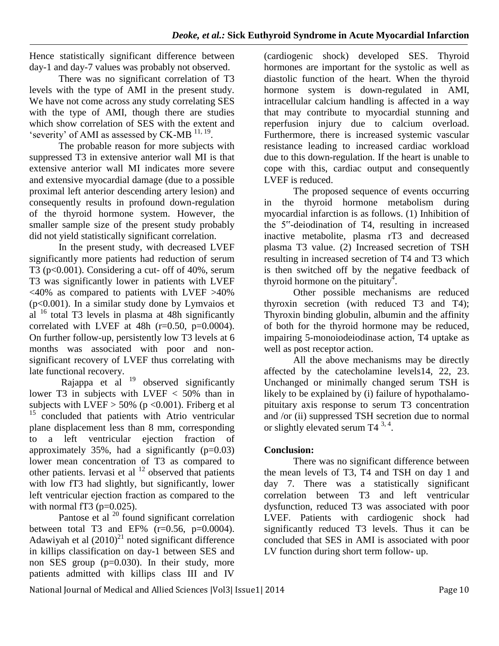Hence statistically significant difference between day-1 and day-7 values was probably not observed.

There was no significant correlation of T3 levels with the type of AMI in the present study. We have not come across any study correlating SES with the type of AMI, though there are studies which show correlation of SES with the extent and 'severity' of AMI as assessed by CK-MB  $^{11, 19}$ .

The probable reason for more subjects with suppressed T3 in extensive anterior wall MI is that extensive anterior wall MI indicates more severe and extensive myocardial damage (due to a possible proximal left anterior descending artery lesion) and consequently results in profound down-regulation of the thyroid hormone system. However, the smaller sample size of the present study probably did not yield statistically significant correlation.

In the present study, with decreased LVEF significantly more patients had reduction of serum T3 ( $p<0.001$ ). Considering a cut- off of 40%, serum T3 was significantly lower in patients with LVEF  $\langle 40\%$  as compared to patients with LVEF  $>40\%$ (p<0.001). In a similar study done by Lymvaios et al  $16$  total T3 levels in plasma at 48h significantly correlated with LVEF at  $48h$  (r=0.50, p=0.0004). On further follow-up, persistently low T3 levels at 6 months was associated with poor and nonsignificant recovery of LVEF thus correlating with late functional recovery.

Rajappa et al  $^{19}$  observed significantly lower T3 in subjects with LVEF < 50% than in subjects with LVEF > 50% (p < 0.001). Friberg et al <sup>15</sup> concluded that patients with Atrio ventricular plane displacement less than 8 mm, corresponding to a left ventricular ejection fraction of approximately 35%, had a significantly  $(p=0.03)$ lower mean concentration of T3 as compared to other patients. Iervasi et al  $12$  observed that patients with low fT3 had slightly, but significantly, lower left ventricular ejection fraction as compared to the with normal fT3 ( $p=0.025$ ).

Pantose et al  $^{20}$  found significant correlation between total T3 and EF%  $(r=0.56, p=0.0004)$ . Adawiyah et al  $(2010)^{21}$  noted significant difference in killips classification on day-1 between SES and non SES group (p=0.030). In their study, more patients admitted with killips class III and IV

(cardiogenic shock) developed SES. Thyroid hormones are important for the systolic as well as diastolic function of the heart. When the thyroid hormone system is down-regulated in AMI, intracellular calcium handling is affected in a way that may contribute to myocardial stunning and reperfusion injury due to calcium overload. Furthermore, there is increased systemic vascular resistance leading to increased cardiac workload due to this down-regulation. If the heart is unable to cope with this, cardiac output and consequently LVEF is reduced.

The proposed sequence of events occurring in the thyroid hormone metabolism during myocardial infarction is as follows. (1) Inhibition of the 5"-deiodination of T4, resulting in increased inactive metabolite, plasma rT3 and decreased plasma T3 value. (2) Increased secretion of TSH resulting in increased secretion of T4 and T3 which is then switched off by the negative feedback of thyroid hormone on the pituitary<sup>4</sup>.

Other possible mechanisms are reduced thyroxin secretion (with reduced T3 and T4); Thyroxin binding globulin, albumin and the affinity of both for the thyroid hormone may be reduced, impairing 5-monoiodeiodinase action, T4 uptake as well as post receptor action.

All the above mechanisms may be directly affected by the catecholamine levels14, 22, 23. Unchanged or minimally changed serum TSH is likely to be explained by (i) failure of hypothalamopituitary axis response to serum T3 concentration and /or (ii) suppressed TSH secretion due to normal or slightly elevated serum T4 $^{3,4}$ .

## **Conclusion:**

There was no significant difference between the mean levels of T3, T4 and TSH on day 1 and day 7. There was a statistically significant correlation between T3 and left ventricular dysfunction, reduced T3 was associated with poor LVEF. Patients with cardiogenic shock had significantly reduced T3 levels. Thus it can be concluded that SES in AMI is associated with poor LV function during short term follow- up.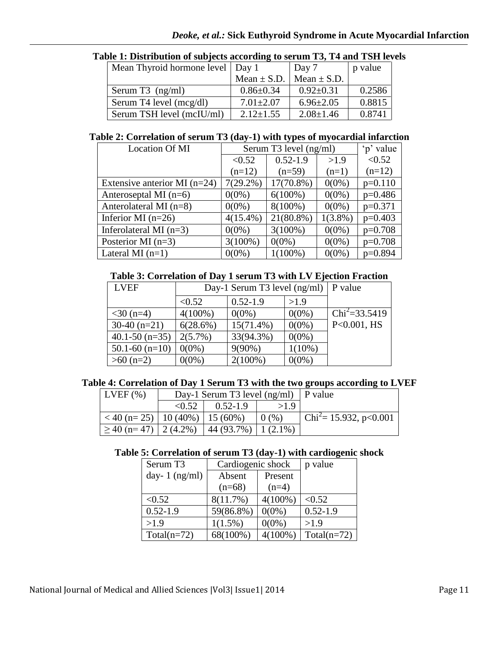#### *Deoke, et al.:* **Sick Euthyroid Syndrome in Acute Myocardial Infarction**

#### **Table 1: Distribution of subjects according to serum T3, T4 and TSH levels**

| Mean Thyroid hormone level   Day 1 |                 | $\vert$ Day 7   | p value |
|------------------------------------|-----------------|-----------------|---------|
|                                    | Mean $\pm$ S.D. | Mean $\pm$ S.D. |         |
| Serum T3 $(ng/ml)$                 | $0.86 \pm 0.34$ | $0.92 \pm 0.31$ | 0.2586  |
| Serum T4 level (mcg/dl)            | $7.01 \pm 2.07$ | $6.96 \pm 2.05$ | 0.8815  |
| Serum TSH level (mcIU/ml)          | $2.12 \pm 1.55$ | $2.08 \pm 1.46$ | 0.8741  |

#### **Table 2: Correlation of serum T3 (day-1) with types of myocardial infarction**

| Location Of MI                 | Serum T3 level (ng/ml) |              |            | 'p' value |
|--------------------------------|------------------------|--------------|------------|-----------|
|                                | < 0.52                 | $0.52 - 1.9$ | >1.9       | < 0.52    |
|                                | $(n=12)$               | $(n=59)$     | $(n=1)$    | $(n=12)$  |
| Extensive anterior MI $(n=24)$ | $7(29.2\%)$            | $17(70.8\%)$ | $0(0\%)$   | $p=0.110$ |
| Anteroseptal MI $(n=6)$        | $0(0\%)$               | $6(100\%)$   | $0(0\%)$   | $p=0.486$ |
| Anterolateral MI (n=8)         | $0(0\%)$               | $8(100\%)$   | $0(0\%)$   | $p=0.371$ |
| Inferior MI $(n=26)$           | $4(15.4\%)$            | $21(80.8\%)$ | $1(3.8\%)$ | $p=0.403$ |
| Inferolateral MI $(n=3)$       | $0(0\%)$               | $3(100\%)$   | $0(0\%)$   | $p=0.708$ |
| Posterior MI $(n=3)$           | $3(100\%)$             | $0(0\%)$     | $0(0\%)$   | $p=0.708$ |
| Lateral MI $(n=1)$             | $0(0\%)$               | $1(100\%)$   | $0(0\%)$   | $p=0.894$ |

#### **Table 3: Correlation of Day 1 serum T3 with LV Ejection Fraction**

| <b>LVEF</b>        | Day-1 Serum T3 level $(ng/ml)$   P value |              |           |                   |
|--------------------|------------------------------------------|--------------|-----------|-------------------|
|                    | < 0.52                                   | $0.52 - 1.9$ | >1.9      |                   |
| $<$ 30 (n=4)       | $4(100\%)$                               | $0(0\%)$     | $0(0\%)$  | $Chi^2 = 33.5419$ |
| $30-40$ (n=21)     | 6(28.6%)                                 | $15(71.4\%)$ | $0(0\%)$  | $P<0.001$ , HS    |
| $40.1 - 50$ (n=35) | $2(5.7\%)$                               | 33(94.3%)    | $0(0\%)$  |                   |
| $50.1 - 60$ (n=10) | $0(0\%)$                                 | $9(90\%)$    | $1(10\%)$ |                   |
| $>60$ (n=2)        | $0(0\%)$                                 | $2(100\%)$   | $0(0\%)$  |                   |

#### **Table 4: Correlation of Day 1 Serum T3 with the two groups according to LVEF**

| $LVEF$ $(\% )$                       |        | Day-1 Serum T3 level $(ng/ml)$   P value |      |                                            |
|--------------------------------------|--------|------------------------------------------|------|--------------------------------------------|
|                                      | < 0.52 | $0.52 - 1.9$                             | >1.9 |                                            |
| $<$ 40 (n= 25)   10 (40%)   15 (60%) |        |                                          | 0(%  | $\text{Chi}^2 = 15.932, \text{ p} < 0.001$ |
| $\leq$ 40 (n= 47)   2 (4.2%)         |        | $1(44(93.7%)$ 1 $(2.1%)$                 |      |                                            |

#### **Table 5: Correlation of serum T3 (day-1) with cardiogenic shock**

| Serum T <sub>3</sub> | Cardiogenic shock |            | p value       |
|----------------------|-------------------|------------|---------------|
| day-1 $(ng/ml)$      | Absent            | Present    |               |
|                      | $(n=68)$          | $(n=4)$    |               |
| < 0.52               | 8(11.7%)          | $4(100\%)$ | < 0.52        |
| $0.52 - 1.9$         | 59(86.8%)         | $0(0\%)$   | $0.52 - 1.9$  |
| >1.9                 | $1(1.5\%)$        | $0(0\%)$   | >1.9          |
| $Total(n=72)$        | 68(100%)          | $4(100\%)$ | $Total(n=72)$ |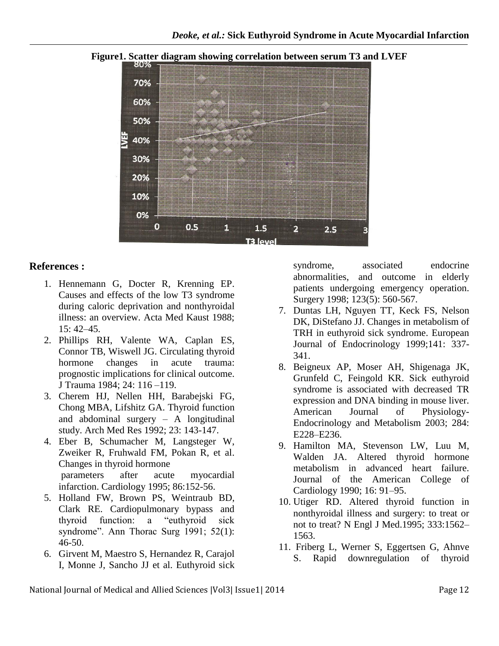

# **Figure1. Scatter diagram showing correlation between serum T3 and LVEF**<br>80%

## **References :**

- 1. Hennemann G, Docter R, Krenning EP. Causes and effects of the low T3 syndrome during caloric deprivation and nonthyroidal illness: an overview. Acta Med Kaust 1988;  $15: 42 - 45.$
- 2. Phillips RH, Valente WA, Caplan ES, Connor TB, Wiswell JG. Circulating thyroid hormone changes in acute trauma: prognostic implications for clinical outcome. J Trauma 1984; 24: 116 –119.
- 3. Cherem HJ, Nellen HH, Barabejski FG, Chong MBA, Lifshitz GA. Thyroid function and abdominal surgery – A longitudinal study. Arch Med Res 1992; 23: 143-147.
- 4. Eber B, Schumacher M, Langsteger W, Zweiker R, Fruhwald FM, Pokan R, et al. Changes in thyroid hormone parameters after acute myocardial infarction. Cardiology 1995; 86:152-56.
- 5. Holland FW, Brown PS, Weintraub BD, Clark RE. Cardiopulmonary bypass and thyroid function: a "euthyroid sick syndrome". Ann Thorac Surg 1991; 52(1): 46-50.
- 6. Girvent M, Maestro S, Hernandez R, Carajol I, Monne J, Sancho JJ et al. Euthyroid sick

syndrome, associated endocrine abnormalities, and outcome in elderly patients undergoing emergency operation. Surgery 1998; 123(5): 560-567.

- 7. Duntas LH, Nguyen TT, Keck FS, Nelson DK, DiStefano JJ. Changes in metabolism of TRH in euthyroid sick syndrome. European Journal of Endocrinology 1999;141: 337- 341.
- 8. Beigneux AP, Moser AH, Shigenaga JK, Grunfeld C, Feingold KR. Sick euthyroid syndrome is associated with decreased TR expression and DNA binding in mouse liver. American Journal of Physiology-Endocrinology and Metabolism 2003; 284: E228–E236.
- 9. Hamilton MA, Stevenson LW, Luu M, Walden JA. Altered thyroid hormone metabolism in advanced heart failure. Journal of the American College of Cardiology 1990; 16: 91–95.
- 10. Utiger RD. Altered thyroid function in nonthyroidal illness and surgery: to treat or not to treat? N Engl J Med.1995; 333:1562– 1563.
- 11. Friberg L, Werner S, Eggertsen G, Ahnve S. Rapid downregulation of thyroid